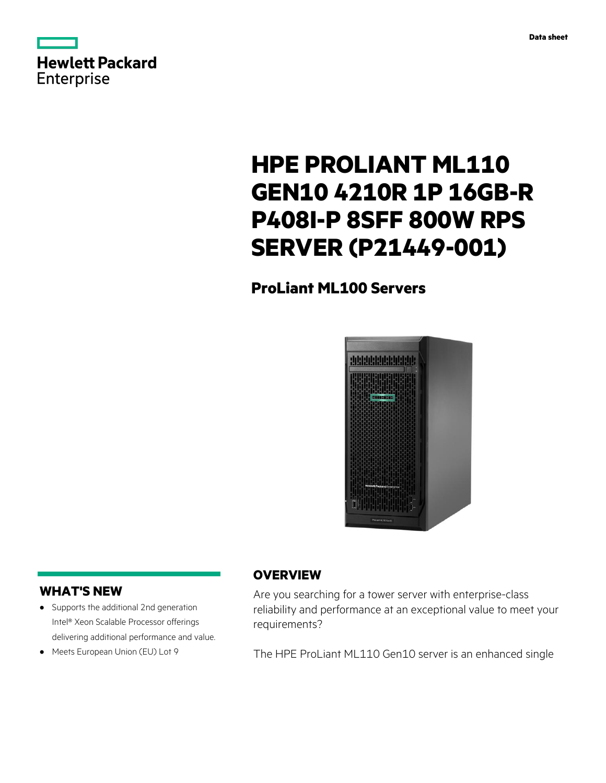



# **HPE PROLIANT ML110 GEN10 4210R 1P 16GB-R P408I-P 8SFF 800W RPS SERVER (P21449-001)**

# **ProLiant ML100 Servers**



## **WHAT'S NEW**

- **·** Supports the additional 2nd generation Intel® Xeon Scalable Processor offerings delivering additional performance and value.
- **·** Meets European Union (EU) Lot 9

## **OVERVIEW**

Are you searching for a tower server with enterprise-class reliability and performance at an exceptional value to meet your requirements?

The HPE ProLiant ML110 Gen10 server is an enhanced single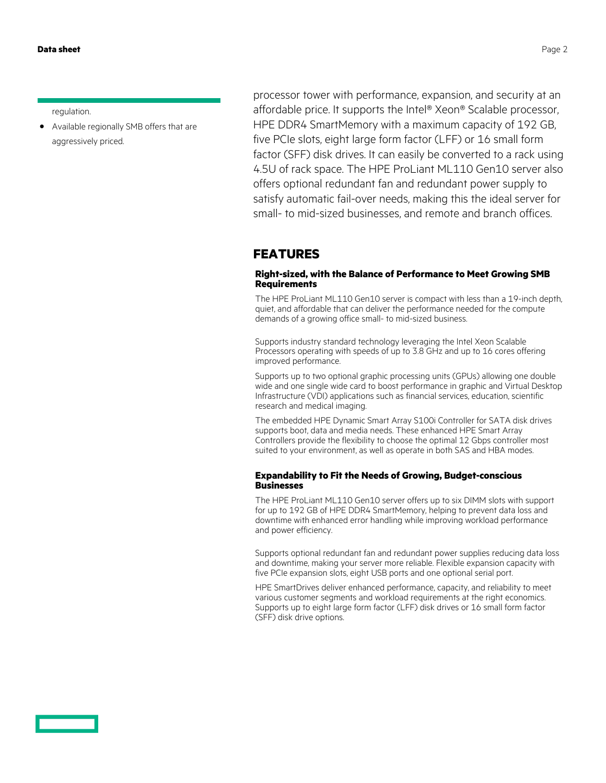regulation.

**·** Available regionally SMB offers that are aggressively priced.

processor tower with performance, expansion, and security at an affordable price. It supports the Intel® Xeon® Scalable processor, HPE DDR4 SmartMemory with a maximum capacity of 192 GB, five PCIe slots, eight large form factor (LFF) or 16 small form factor (SFF) disk drives. It can easily be converted to a rack using 4.5U of rack space. The HPE ProLiant ML110 Gen10 server also offers optional redundant fan and redundant power supply to satisfy automatic fail-over needs, making this the ideal server for small- to mid-sized businesses, and remote and branch offices.

#### **FEATURES**

#### **Right-sized, with the Balance of Performance to Meet Growing SMB Requirements**

The HPE ProLiant ML110 Gen10 server is compact with less than a 19-inch depth, quiet, and affordable that can deliver the performance needed for the compute demands of a growing office small- to mid-sized business.

Supports industry standard technology leveraging the Intel Xeon Scalable Processors operating with speeds of up to 3.8 GHz and up to 16 cores offering improved performance.

Supports up to two optional graphic processing units (GPUs) allowing one double wide and one single wide card to boost performance in graphic and Virtual Desktop Infrastructure (VDI) applications such as financial services, education, scientific research and medical imaging.

The embedded HPE Dynamic Smart Array S100i Controller for SATA disk drives supports boot, data and media needs. These enhanced HPE Smart Array Controllers provide the flexibility to choose the optimal 12 Gbps controller most suited to your environment, as well as operate in both SAS and HBA modes.

#### **Expandability to Fit the Needs of Growing, Budget-conscious Businesses**

The HPE ProLiant ML110 Gen10 server offers up to six DIMM slots with support for up to 192 GB of HPE DDR4 SmartMemory, helping to prevent data loss and downtime with enhanced error handling while improving workload performance and power efficiency.

Supports optional redundant fan and redundant power supplies reducing data loss and downtime, making your server more reliable. Flexible expansion capacity with five PCIe expansion slots, eight USB ports and one optional serial port.

HPE SmartDrives deliver enhanced performance, capacity, and reliability to meet various customer segments and workload requirements at the right economics. Supports up to eight large form factor (LFF) disk drives or 16 small form factor (SFF) disk drive options.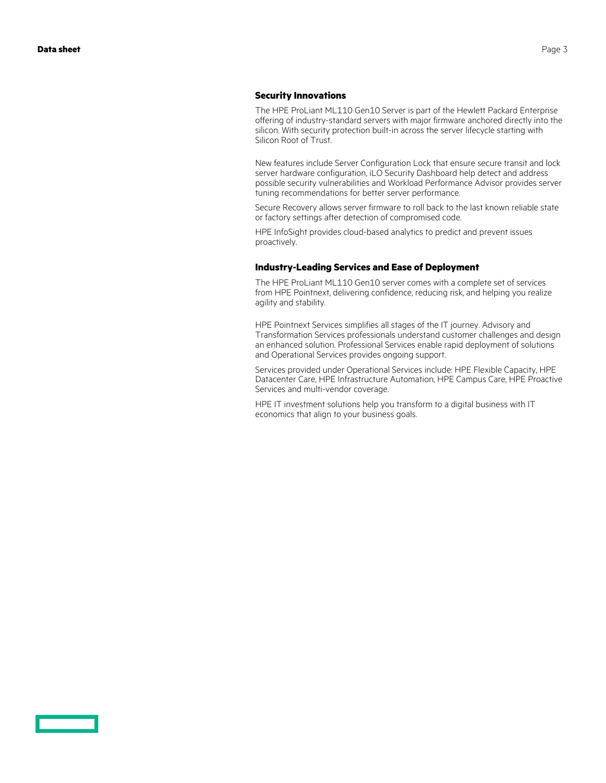#### **Security Innovations**

The HPE ProLiant ML110 Gen10 Server is part of the Hewlett Packard Enterprise offering of industry-standard servers with major firmware anchored directly into the silicon. With security protection built-in across the server lifecycle starting with Silicon Root of Trust.

New features include Server Configuration Lock that ensure secure transit and lock server hardware configuration, iLO Security Dashboard help detect and address possible security vulnerabilities and Workload Performance Advisor provides server tuning recommendations for better server performance.

Secure Recovery allows server firmware to roll back to the last known reliable state or factory settings after detection of compromised code.

HPE InfoSight provides cloud-based analytics to predict and prevent issues proactively.

#### **Industry-Leading Services and Ease of Deployment**

The HPE ProLiant ML110 Gen10 server comes with a complete set of services from HPE Pointnext, delivering confidence, reducing risk, and helping you realize agility and stability.

HPE Pointnext Services simplifies all stages of the IT journey. Advisory and Transformation Services professionals understand customer challenges and design an enhanced solution. Professional Services enable rapid deployment of solutions and Operational Services provides ongoing support.

Services provided under Operational Services include: HPE Flexible Capacity, HPE Datacenter Care, HPE Infrastructure Automation, HPE Campus Care, HPE Proactive Services and multi-vendor coverage.

HPE IT investment solutions help you transform to a digital business with IT economics that align to your business goals.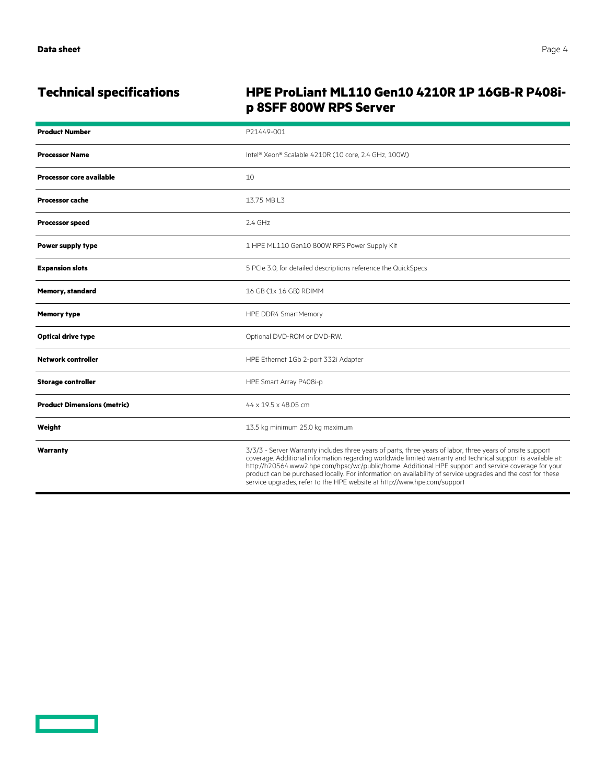<u>e a componente de la p</u>

# **Technical specifications HPE ProLiant ML110 Gen10 4210R 1P 16GB-R P408ip 8SFF 800W RPS Server**

| <b>Product Number</b>              | P21449-001                                                                                                                                                                                                                                                                                                                                                                                                                                                                                                                     |
|------------------------------------|--------------------------------------------------------------------------------------------------------------------------------------------------------------------------------------------------------------------------------------------------------------------------------------------------------------------------------------------------------------------------------------------------------------------------------------------------------------------------------------------------------------------------------|
| <b>Processor Name</b>              | Intel® Xeon® Scalable 4210R (10 core, 2.4 GHz, 100W)                                                                                                                                                                                                                                                                                                                                                                                                                                                                           |
| <b>Processor core available</b>    | 10                                                                                                                                                                                                                                                                                                                                                                                                                                                                                                                             |
| <b>Processor cache</b>             | 13.75 MB L3                                                                                                                                                                                                                                                                                                                                                                                                                                                                                                                    |
| <b>Processor speed</b>             | $2.4$ GHz                                                                                                                                                                                                                                                                                                                                                                                                                                                                                                                      |
| Power supply type                  | 1 HPE ML110 Gen10 800W RPS Power Supply Kit                                                                                                                                                                                                                                                                                                                                                                                                                                                                                    |
| <b>Expansion slots</b>             | 5 PCIe 3.0, for detailed descriptions reference the QuickSpecs                                                                                                                                                                                                                                                                                                                                                                                                                                                                 |
| <b>Memory, standard</b>            | 16 GB (1x 16 GB) RDIMM                                                                                                                                                                                                                                                                                                                                                                                                                                                                                                         |
| <b>Memory type</b>                 | HPE DDR4 SmartMemory                                                                                                                                                                                                                                                                                                                                                                                                                                                                                                           |
| <b>Optical drive type</b>          | Optional DVD-ROM or DVD-RW.                                                                                                                                                                                                                                                                                                                                                                                                                                                                                                    |
| <b>Network controller</b>          | HPE Ethernet 1Gb 2-port 332i Adapter                                                                                                                                                                                                                                                                                                                                                                                                                                                                                           |
| <b>Storage controller</b>          | HPE Smart Array P408i-p                                                                                                                                                                                                                                                                                                                                                                                                                                                                                                        |
| <b>Product Dimensions (metric)</b> | 44 x 19.5 x 48.05 cm                                                                                                                                                                                                                                                                                                                                                                                                                                                                                                           |
| Weight                             | 13.5 kg minimum 25.0 kg maximum                                                                                                                                                                                                                                                                                                                                                                                                                                                                                                |
| Warranty                           | 3/3/3 - Server Warranty includes three years of parts, three years of labor, three years of onsite support<br>coverage. Additional information regarding worldwide limited warranty and technical support is available at:<br>http://h20564.www2.hpe.com/hpsc/wc/public/home. Additional HPE support and service coverage for your<br>product can be purchased locally. For information on availability of service upgrades and the cost for these<br>service upgrades, refer to the HPE website at http://www.hpe.com/support |